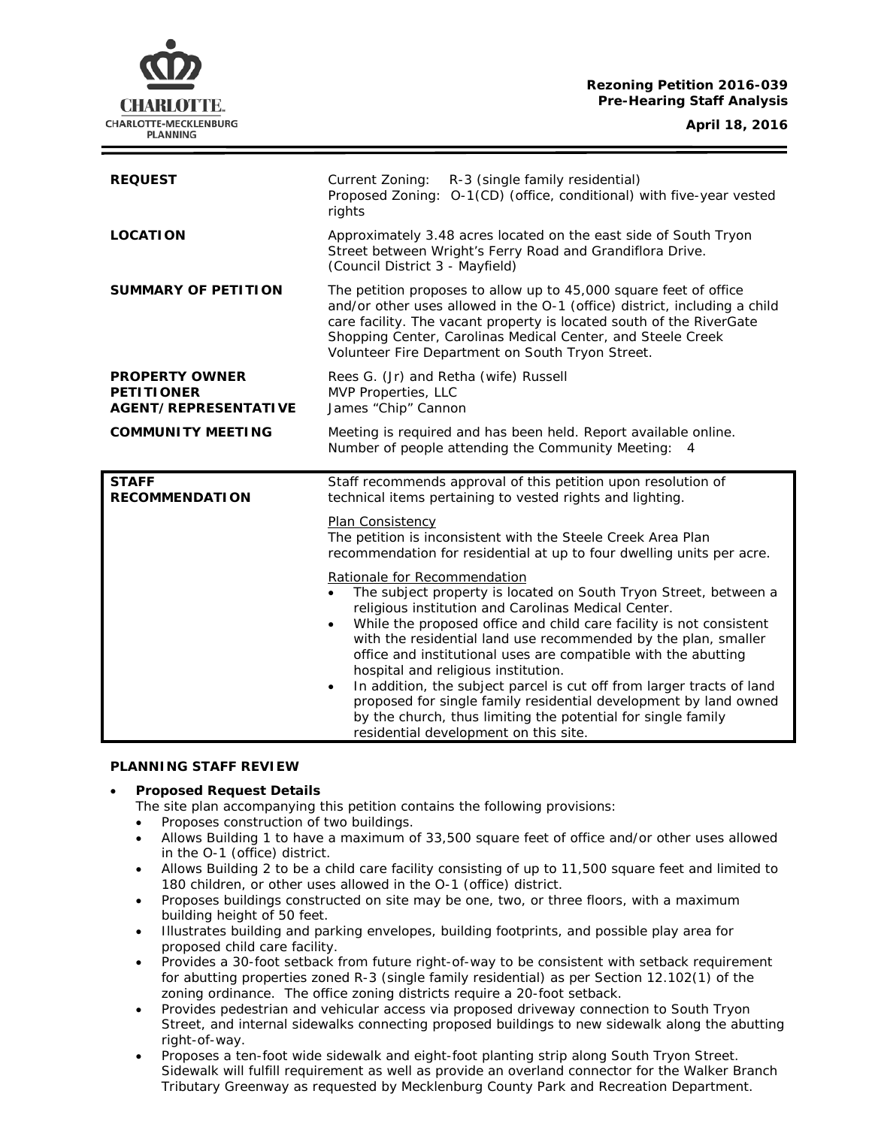## **Rezoning Petition 2016-039 Pre-Hearing Staff Analysis**

CHARLOTTE. CHARLOTTE-MECKLENBURG **PLANNING** 

| <b>REQUEST</b>                                                     | Current Zoning:<br>R-3 (single family residential)<br>Proposed Zoning: O-1(CD) (office, conditional) with five-year vested<br>rights                                                                                                                                                                                                                                                                                                                                                                                                                                                                                                                                                                                                                                                                                                                                                                                                        |
|--------------------------------------------------------------------|---------------------------------------------------------------------------------------------------------------------------------------------------------------------------------------------------------------------------------------------------------------------------------------------------------------------------------------------------------------------------------------------------------------------------------------------------------------------------------------------------------------------------------------------------------------------------------------------------------------------------------------------------------------------------------------------------------------------------------------------------------------------------------------------------------------------------------------------------------------------------------------------------------------------------------------------|
| <b>LOCATION</b>                                                    | Approximately 3.48 acres located on the east side of South Tryon<br>Street between Wright's Ferry Road and Grandiflora Drive.<br>(Council District 3 - Mayfield)                                                                                                                                                                                                                                                                                                                                                                                                                                                                                                                                                                                                                                                                                                                                                                            |
| <b>SUMMARY OF PETITION</b>                                         | The petition proposes to allow up to 45,000 square feet of office<br>and/or other uses allowed in the O-1 (office) district, including a child<br>care facility. The vacant property is located south of the RiverGate<br>Shopping Center, Carolinas Medical Center, and Steele Creek<br>Volunteer Fire Department on South Tryon Street.                                                                                                                                                                                                                                                                                                                                                                                                                                                                                                                                                                                                   |
| <b>PROPERTY OWNER</b><br><b>PETITIONER</b><br>AGENT/REPRESENTATIVE | Rees G. (Jr) and Retha (wife) Russell<br>MVP Properties, LLC<br>James "Chip" Cannon                                                                                                                                                                                                                                                                                                                                                                                                                                                                                                                                                                                                                                                                                                                                                                                                                                                         |
| <b>COMMUNITY MEETING</b>                                           | Meeting is required and has been held. Report available online.                                                                                                                                                                                                                                                                                                                                                                                                                                                                                                                                                                                                                                                                                                                                                                                                                                                                             |
|                                                                    | Number of people attending the Community Meeting: 4                                                                                                                                                                                                                                                                                                                                                                                                                                                                                                                                                                                                                                                                                                                                                                                                                                                                                         |
| <b>STAFF</b><br><b>RECOMMENDATION</b>                              | Staff recommends approval of this petition upon resolution of<br>technical items pertaining to vested rights and lighting.<br>Plan Consistency<br>The petition is inconsistent with the Steele Creek Area Plan<br>recommendation for residential at up to four dwelling units per acre.<br>Rationale for Recommendation<br>The subject property is located on South Tryon Street, between a<br>religious institution and Carolinas Medical Center.<br>While the proposed office and child care facility is not consistent<br>$\bullet$<br>with the residential land use recommended by the plan, smaller<br>office and institutional uses are compatible with the abutting<br>hospital and religious institution.<br>In addition, the subject parcel is cut off from larger tracts of land<br>$\bullet$<br>proposed for single family residential development by land owned<br>by the church, thus limiting the potential for single family |

#### **PLANNING STAFF REVIEW**

## • **Proposed Request Details**

The site plan accompanying this petition contains the following provisions:

- Proposes construction of two buildings.
- Allows Building 1 to have a maximum of 33,500 square feet of office and/or other uses allowed in the O-1 (office) district.
- Allows Building 2 to be a child care facility consisting of up to 11,500 square feet and limited to 180 children, or other uses allowed in the O-1 (office) district.
- Proposes buildings constructed on site may be one, two, or three floors, with a maximum building height of 50 feet.
- Illustrates building and parking envelopes, building footprints, and possible play area for proposed child care facility.
- Provides a 30-foot setback from future right-of-way to be consistent with setback requirement for abutting properties zoned R-3 (single family residential) as per Section 12.102(1) of the zoning ordinance. The office zoning districts require a 20-foot setback.
- Provides pedestrian and vehicular access via proposed driveway connection to South Tryon Street, and internal sidewalks connecting proposed buildings to new sidewalk along the abutting right-of-way.
- Proposes a ten-foot wide sidewalk and eight-foot planting strip along South Tryon Street. Sidewalk will fulfill requirement as well as provide an overland connector for the Walker Branch Tributary Greenway as requested by Mecklenburg County Park and Recreation Department.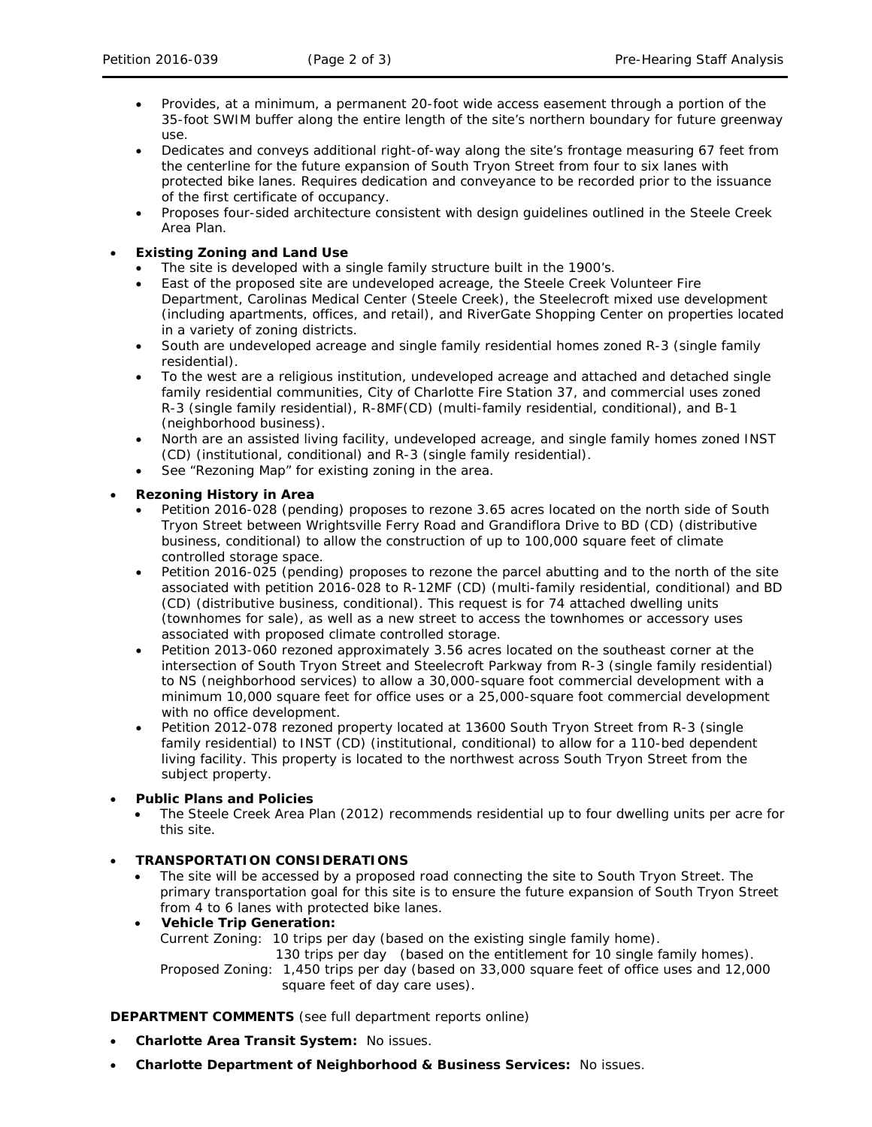- Provides, at a minimum, a permanent 20-foot wide access easement through a portion of the 35-foot SWIM buffer along the entire length of the site's northern boundary for future greenway use.
- Dedicates and conveys additional right-of-way along the site's frontage measuring 67 feet from the centerline for the future expansion of South Tryon Street from four to six lanes with protected bike lanes. Requires dedication and conveyance to be recorded prior to the issuance of the first certificate of occupancy.
- Proposes four-sided architecture consistent with design guidelines outlined in the *Steele Creek Area Plan*.
- **Existing Zoning and Land Use**
	- The site is developed with a single family structure built in the 1900's.
	- East of the proposed site are undeveloped acreage, the Steele Creek Volunteer Fire Department, Carolinas Medical Center (Steele Creek), the Steelecroft mixed use development (including apartments, offices, and retail), and RiverGate Shopping Center on properties located in a variety of zoning districts.
	- South are undeveloped acreage and single family residential homes zoned R-3 (single family residential).
	- To the west are a religious institution, undeveloped acreage and attached and detached single family residential communities, City of Charlotte Fire Station 37, and commercial uses zoned R-3 (single family residential), R-8MF(CD) (multi-family residential, conditional), and B-1 (neighborhood business).
	- North are an assisted living facility, undeveloped acreage, and single family homes zoned INST (CD) (institutional, conditional) and R-3 (single family residential).
	- See "Rezoning Map" for existing zoning in the area.

# • **Rezoning History in Area**

- Petition 2016-028 (pending) proposes to rezone 3.65 acres located on the north side of South Tryon Street between Wrightsville Ferry Road and Grandiflora Drive to BD (CD) (distributive business, conditional) to allow the construction of up to 100,000 square feet of climate controlled storage space.
- Petition 2016-025 (pending) proposes to rezone the parcel abutting and to the north of the site associated with petition 2016-028 to R-12MF (CD) (multi-family residential, conditional) and BD (CD) (distributive business, conditional). This request is for 74 attached dwelling units (townhomes for sale), as well as a new street to access the townhomes or accessory uses associated with proposed climate controlled storage.
- Petition 2013-060 rezoned approximately 3.56 acres located on the southeast corner at the intersection of South Tryon Street and Steelecroft Parkway from R-3 (single family residential) to NS (neighborhood services) to allow a 30,000-square foot commercial development with a minimum 10,000 square feet for office uses or a 25,000-square foot commercial development with no office development.
- Petition 2012-078 rezoned property located at 13600 South Tryon Street from R-3 (single family residential) to INST (CD) (institutional, conditional) to allow for a 110-bed dependent living facility. This property is located to the northwest across South Tryon Street from the subject property.

## • **Public Plans and Policies**

• The *Steele Creek Area Plan* (2012) recommends residential up to four dwelling units per acre for this site.

## • **TRANSPORTATION CONSIDERATIONS**

- The site will be accessed by a proposed road connecting the site to South Tryon Street. The primary transportation goal for this site is to ensure the future expansion of South Tryon Street from 4 to 6 lanes with protected bike lanes.
- **Vehicle Trip Generation:** Current Zoning: 10 trips per day (based on the existing single family home). 130 trips per day (based on the entitlement for 10 single family homes). Proposed Zoning: 1,450 trips per day (based on 33,000 square feet of office uses and 12,000 square feet of day care uses).

**DEPARTMENT COMMENTS** (see full department reports online)

- **Charlotte Area Transit System:** No issues.
- **Charlotte Department of Neighborhood & Business Services:** No issues.